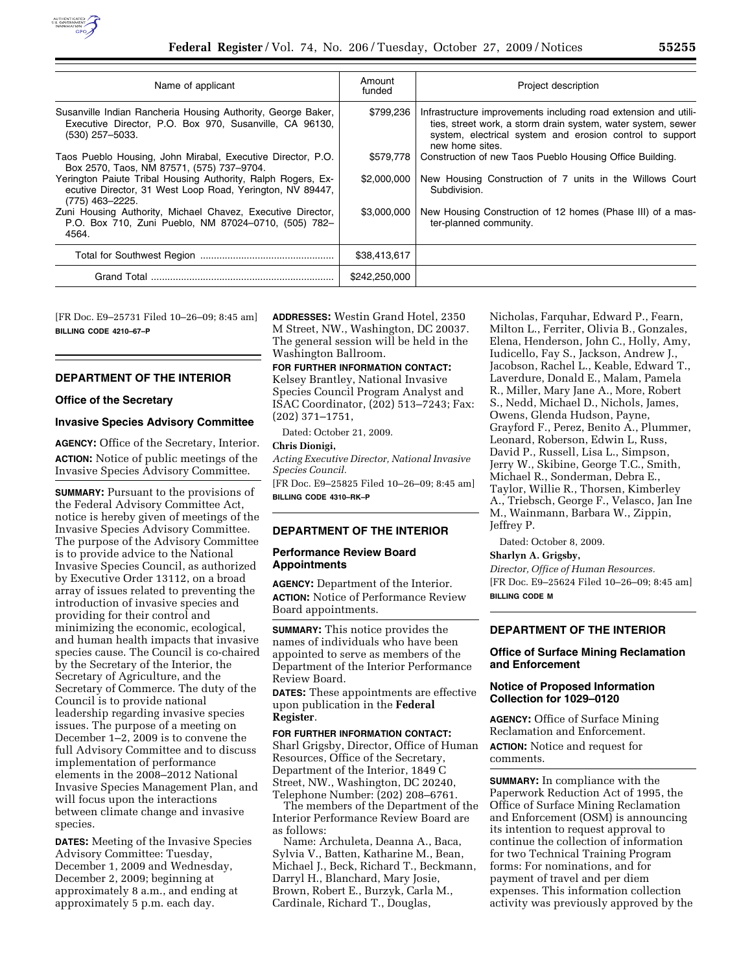

| Name of applicant                                                                                                                            | Amount<br>funded | Project description                                                                                                                                                                                            |
|----------------------------------------------------------------------------------------------------------------------------------------------|------------------|----------------------------------------------------------------------------------------------------------------------------------------------------------------------------------------------------------------|
| Susanville Indian Rancheria Housing Authority, George Baker,<br>Executive Director, P.O. Box 970, Susanville, CA 96130,<br>(530) 257-5033.   | \$799,236        | Infrastructure improvements including road extension and utili-<br>ties, street work, a storm drain system, water system, sewer<br>system, electrical system and erosion control to support<br>new home sites. |
| Taos Pueblo Housing, John Mirabal, Executive Director, P.O.<br>Box 2570, Taos, NM 87571, (575) 737-9704.                                     | \$579,778        | Construction of new Taos Pueblo Housing Office Building.                                                                                                                                                       |
| Yerington Paiute Tribal Housing Authority, Ralph Rogers, Ex-<br>ecutive Director, 31 West Loop Road, Yerington, NV 89447,<br>(775) 463-2225. | \$2,000,000      | New Housing Construction of 7 units in the Willows Court<br>Subdivision.                                                                                                                                       |
| Zuni Housing Authority, Michael Chavez, Executive Director,<br>P.O. Box 710, Zuni Pueblo, NM 87024-0710, (505) 782-<br>4564.                 | \$3,000,000      | New Housing Construction of 12 homes (Phase III) of a mas-<br>ter-planned community.                                                                                                                           |
|                                                                                                                                              | \$38,413,617     |                                                                                                                                                                                                                |
|                                                                                                                                              | \$242,250,000    |                                                                                                                                                                                                                |

[FR Doc. E9–25731 Filed 10–26–09; 8:45 am] **BILLING CODE 4210–67–P** 

## **DEPARTMENT OF THE INTERIOR**

#### **Office of the Secretary**

### **Invasive Species Advisory Committee**

**AGENCY:** Office of the Secretary, Interior. **ACTION:** Notice of public meetings of the Invasive Species Advisory Committee.

**SUMMARY:** Pursuant to the provisions of the Federal Advisory Committee Act, notice is hereby given of meetings of the Invasive Species Advisory Committee. The purpose of the Advisory Committee is to provide advice to the National Invasive Species Council, as authorized by Executive Order 13112, on a broad array of issues related to preventing the introduction of invasive species and providing for their control and minimizing the economic, ecological, and human health impacts that invasive species cause. The Council is co-chaired by the Secretary of the Interior, the Secretary of Agriculture, and the Secretary of Commerce. The duty of the Council is to provide national leadership regarding invasive species issues. The purpose of a meeting on December 1–2, 2009 is to convene the full Advisory Committee and to discuss implementation of performance elements in the 2008–2012 National Invasive Species Management Plan, and will focus upon the interactions between climate change and invasive species.

**DATES:** Meeting of the Invasive Species Advisory Committee: Tuesday, December 1, 2009 and Wednesday, December 2, 2009; beginning at approximately 8 a.m., and ending at approximately 5 p.m. each day.

**ADDRESSES:** Westin Grand Hotel, 2350 M Street, NW., Washington, DC 20037. The general session will be held in the Washington Ballroom.

### **FOR FURTHER INFORMATION CONTACT:**

Kelsey Brantley, National Invasive Species Council Program Analyst and ISAC Coordinator, (202) 513–7243; Fax: (202) 371–1751,

Dated: October 21, 2009.

## **Chris Dionigi,**

*Acting Executive Director, National Invasive Species Council.* 

[FR Doc. E9–25825 Filed 10–26–09; 8:45 am] **BILLING CODE 4310–RK–P** 

### **DEPARTMENT OF THE INTERIOR**

### **Performance Review Board Appointments**

**AGENCY:** Department of the Interior. **ACTION:** Notice of Performance Review Board appointments.

**SUMMARY:** This notice provides the names of individuals who have been appointed to serve as members of the Department of the Interior Performance Review Board.

**DATES:** These appointments are effective upon publication in the **Federal Register**.

## **FOR FURTHER INFORMATION CONTACT:**

Sharl Grigsby, Director, Office of Human Resources, Office of the Secretary, Department of the Interior, 1849 C Street, NW., Washington, DC 20240, Telephone Number: (202) 208–6761.

The members of the Department of the Interior Performance Review Board are as follows:

Name: Archuleta, Deanna A., Baca, Sylvia V., Batten, Katharine M., Bean, Michael J., Beck, Richard T., Beckmann, Darryl H., Blanchard, Mary Josie, Brown, Robert E., Burzyk, Carla M., Cardinale, Richard T., Douglas,

Nicholas, Farquhar, Edward P., Fearn, Milton L., Ferriter, Olivia B., Gonzales, Elena, Henderson, John C., Holly, Amy, Iudicello, Fay S., Jackson, Andrew J., Jacobson, Rachel L., Keable, Edward T., Laverdure, Donald E., Malam, Pamela R., Miller, Mary Jane A., More, Robert S., Nedd, Michael D., Nichols, James, Owens, Glenda Hudson, Payne, Grayford F., Perez, Benito A., Plummer, Leonard, Roberson, Edwin L, Russ, David P., Russell, Lisa L., Simpson, Jerry W., Skibine, George T.C., Smith, Michael R., Sonderman, Debra E., Taylor, Willie R., Thorsen, Kimberley A., Triebsch, George F., Velasco, Jan Ine M., Wainmann, Barbara W., Zippin, Jeffrey P.

Dated: October 8, 2009.

#### **Sharlyn A. Grigsby,**

*Director, Office of Human Resources.*  [FR Doc. E9–25624 Filed 10–26–09; 8:45 am] **BILLING CODE M** 

#### **DEPARTMENT OF THE INTERIOR**

### **Office of Surface Mining Reclamation and Enforcement**

## **Notice of Proposed Information Collection for 1029–0120**

**AGENCY:** Office of Surface Mining Reclamation and Enforcement. **ACTION:** Notice and request for comments.

**SUMMARY:** In compliance with the Paperwork Reduction Act of 1995, the Office of Surface Mining Reclamation and Enforcement (OSM) is announcing its intention to request approval to continue the collection of information for two Technical Training Program forms: For nominations, and for payment of travel and per diem expenses. This information collection activity was previously approved by the